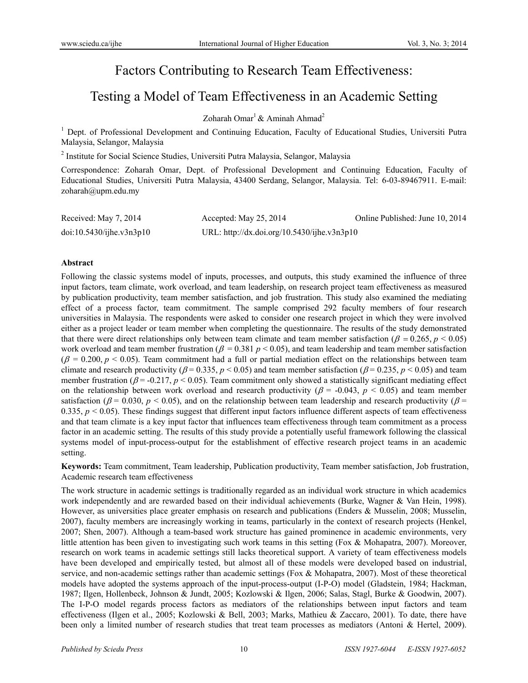# Factors Contributing to Research Team Effectiveness:

# Testing a Model of Team Effectiveness in an Academic Setting

Zoharah Omar<sup>1</sup> & Aminah Ahmad<sup>2</sup>

<sup>1</sup> Dept. of Professional Development and Continuing Education, Faculty of Educational Studies, Universiti Putra Malaysia, Selangor, Malaysia

<sup>2</sup> Institute for Social Science Studies, Universiti Putra Malaysia, Selangor, Malaysia

Correspondence: Zoharah Omar, Dept. of Professional Development and Continuing Education, Faculty of Educational Studies, Universiti Putra Malaysia, 43400 Serdang, Selangor, Malaysia. Tel: 6-03-89467911. E-mail: zoharah@upm.edu.my

| Received: May 7, 2014    | Accepted: May 25, 2014                      | Online Published: June 10, 2014 |
|--------------------------|---------------------------------------------|---------------------------------|
| doi:10.5430/ijhe.v3n3p10 | URL: http://dx.doi.org/10.5430/ijhe.v3n3p10 |                                 |

## **Abstract**

Following the classic systems model of inputs, processes, and outputs, this study examined the influence of three input factors, team climate, work overload, and team leadership, on research project team effectiveness as measured by publication productivity, team member satisfaction, and job frustration. This study also examined the mediating effect of a process factor, team commitment. The sample comprised 292 faculty members of four research universities in Malaysia. The respondents were asked to consider one research project in which they were involved either as a project leader or team member when completing the questionnaire. The results of the study demonstrated that there were direct relationships only between team climate and team member satisfaction  $(\beta = 0.265, p \le 0.05)$ work overload and team member frustration ( $\beta = 0.381$  *p* < 0.05), and team leadership and team member satisfaction  $(\beta = 0.200, p \le 0.05)$ . Team commitment had a full or partial mediation effect on the relationships between team climate and research productivity ( $\beta$  = 0.335, *p* < 0.05) and team member satisfaction ( $\beta$  = 0.235, *p* < 0.05) and team member frustration ( $\beta$  = -0.217,  $p$  < 0.05). Team commitment only showed a statistically significant mediating effect on the relationship between work overload and research productivity ( $\beta$  = -0.043,  $p$  < 0.05) and team member satisfaction ( $\beta$  = 0.030,  $p$  < 0.05), and on the relationship between team leadership and research productivity ( $\beta$  = 0.335,  $p \le 0.05$ ). These findings suggest that different input factors influence different aspects of team effectiveness and that team climate is a key input factor that influences team effectiveness through team commitment as a process factor in an academic setting. The results of this study provide a potentially useful framework following the classical systems model of input-process-output for the establishment of effective research project teams in an academic setting.

**Keywords:** Team commitment, Team leadership, Publication productivity, Team member satisfaction, Job frustration, Academic research team effectiveness

The work structure in academic settings is traditionally regarded as an individual work structure in which academics work independently and are rewarded based on their individual achievements (Burke, Wagner & Van Hein, 1998). However, as universities place greater emphasis on research and publications (Enders & Musselin, 2008; Musselin, 2007), faculty members are increasingly working in teams, particularly in the context of research projects (Henkel, 2007; Shen, 2007). Although a team-based work structure has gained prominence in academic environments, very little attention has been given to investigating such work teams in this setting (Fox & Mohapatra, 2007). Moreover, research on work teams in academic settings still lacks theoretical support. A variety of team effectiveness models have been developed and empirically tested, but almost all of these models were developed based on industrial, service, and non-academic settings rather than academic settings (Fox & Mohapatra, 2007). Most of these theoretical models have adopted the systems approach of the input-process-output (I-P-O) model (Gladstein, 1984; Hackman, 1987; Ilgen, Hollenbeck, Johnson & Jundt, 2005; Kozlowski & Ilgen, 2006; Salas, Stagl, Burke & Goodwin, 2007). The I-P-O model regards process factors as mediators of the relationships between input factors and team effectiveness (Ilgen et al., 2005; Kozlowski & Bell, 2003; Marks, Mathieu & Zaccaro, 2001). To date, there have been only a limited number of research studies that treat team processes as mediators (Antoni & Hertel, 2009).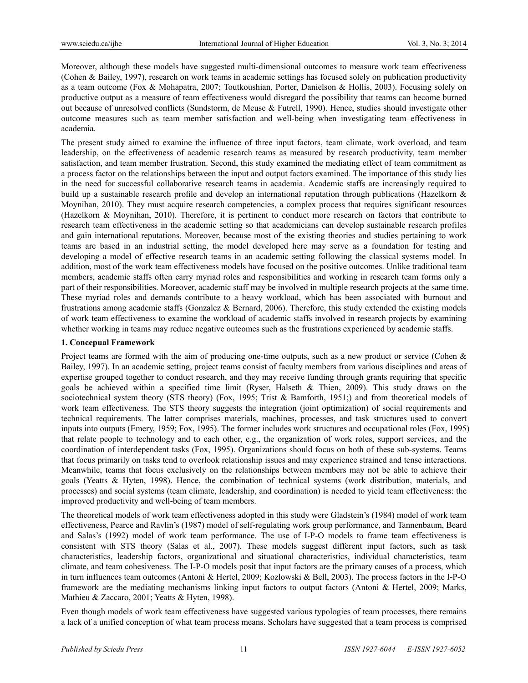Moreover, although these models have suggested multi-dimensional outcomes to measure work team effectiveness (Cohen & Bailey, 1997), research on work teams in academic settings has focused solely on publication productivity as a team outcome (Fox & Mohapatra, 2007; Toutkoushian, Porter, Danielson & Hollis, 2003). Focusing solely on productive output as a measure of team effectiveness would disregard the possibility that teams can become burned out because of unresolved conflicts (Sundstorm, de Meuse & Futrell, 1990). Hence, studies should investigate other outcome measures such as team member satisfaction and well-being when investigating team effectiveness in academia.

The present study aimed to examine the influence of three input factors, team climate, work overload, and team leadership, on the effectiveness of academic research teams as measured by research productivity, team member satisfaction, and team member frustration. Second, this study examined the mediating effect of team commitment as a process factor on the relationships between the input and output factors examined. The importance of this study lies in the need for successful collaborative research teams in academia. Academic staffs are increasingly required to build up a sustainable research profile and develop an international reputation through publications (Hazelkorn & Moynihan, 2010). They must acquire research competencies, a complex process that requires significant resources (Hazelkorn & Moynihan, 2010). Therefore, it is pertinent to conduct more research on factors that contribute to research team effectiveness in the academic setting so that academicians can develop sustainable research profiles and gain international reputations. Moreover, because most of the existing theories and studies pertaining to work teams are based in an industrial setting, the model developed here may serve as a foundation for testing and developing a model of effective research teams in an academic setting following the classical systems model. In addition, most of the work team effectiveness models have focused on the positive outcomes. Unlike traditional team members, academic staffs often carry myriad roles and responsibilities and working in research team forms only a part of their responsibilities. Moreover, academic staff may be involved in multiple research projects at the same time. These myriad roles and demands contribute to a heavy workload, which has been associated with burnout and frustrations among academic staffs (Gonzalez & Bernard, 2006). Therefore, this study extended the existing models of work team effectiveness to examine the workload of academic staffs involved in research projects by examining whether working in teams may reduce negative outcomes such as the frustrations experienced by academic staffs.

## **1. Concepual Framework**

Project teams are formed with the aim of producing one-time outputs, such as a new product or service (Cohen & Bailey, 1997). In an academic setting, project teams consist of faculty members from various disciplines and areas of expertise grouped together to conduct research, and they may receive funding through grants requiring that specific goals be achieved within a specified time limit (Ryser, Halseth & Thien, 2009). This study draws on the sociotechnical system theory (STS theory) (Fox, 1995; Trist & Bamforth, 1951;) and from theoretical models of work team effectiveness. The STS theory suggests the integration (joint optimization) of social requirements and technical requirements. The latter comprises materials, machines, processes, and task structures used to convert inputs into outputs (Emery, 1959; Fox, 1995). The former includes work structures and occupational roles (Fox, 1995) that relate people to technology and to each other, e.g., the organization of work roles, support services, and the coordination of interdependent tasks (Fox, 1995). Organizations should focus on both of these sub-systems. Teams that focus primarily on tasks tend to overlook relationship issues and may experience strained and tense interactions. Meanwhile, teams that focus exclusively on the relationships between members may not be able to achieve their goals (Yeatts & Hyten, 1998). Hence, the combination of technical systems (work distribution, materials, and processes) and social systems (team climate, leadership, and coordination) is needed to yield team effectiveness: the improved productivity and well-being of team members.

The theoretical models of work team effectiveness adopted in this study were Gladstein's (1984) model of work team effectiveness, Pearce and Ravlin's (1987) model of self-regulating work group performance, and Tannenbaum, Beard and Salas's (1992) model of work team performance. The use of I-P-O models to frame team effectiveness is consistent with STS theory (Salas et al., 2007). These models suggest different input factors, such as task characteristics, leadership factors, organizational and situational characteristics, individual characteristics, team climate, and team cohesiveness. The I-P-O models posit that input factors are the primary causes of a process, which in turn influences team outcomes (Antoni & Hertel, 2009; Kozlowski & Bell, 2003). The process factors in the I-P-O framework are the mediating mechanisms linking input factors to output factors (Antoni & Hertel, 2009; Marks, Mathieu & Zaccaro, 2001; Yeatts & Hyten, 1998).

Even though models of work team effectiveness have suggested various typologies of team processes, there remains a lack of a unified conception of what team process means. Scholars have suggested that a team process is comprised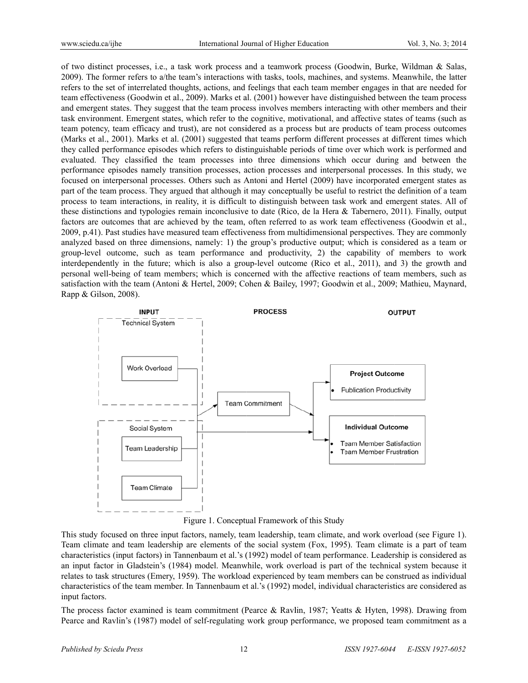of two distinct processes, i.e., a task work process and a teamwork process (Goodwin, Burke, Wildman & Salas, 2009). The former refers to a/the team's interactions with tasks, tools, machines, and systems. Meanwhile, the latter refers to the set of interrelated thoughts, actions, and feelings that each team member engages in that are needed for team effectiveness (Goodwin et al., 2009). Marks et al. (2001) however have distinguished between the team process and emergent states. They suggest that the team process involves members interacting with other members and their task environment. Emergent states, which refer to the cognitive, motivational, and affective states of teams (such as team potency, team efficacy and trust), are not considered as a process but are products of team process outcomes (Marks et al., 2001). Marks et al. (2001) suggested that teams perform different processes at different times which they called performance episodes which refers to distinguishable periods of time over which work is performed and evaluated. They classified the team processes into three dimensions which occur during and between the performance episodes namely transition processes, action processes and interpersonal processes. In this study, we focused on interpersonal processes. Others such as Antoni and Hertel (2009) have incorporated emergent states as part of the team process. They argued that although it may conceptually be useful to restrict the definition of a team process to team interactions, in reality, it is difficult to distinguish between task work and emergent states. All of these distinctions and typologies remain inconclusive to date (Rico, de la Hera & Tabernero, 2011). Finally, output factors are outcomes that are achieved by the team, often referred to as work team effectiveness (Goodwin et al., 2009, p.41). Past studies have measured team effectiveness from multidimensional perspectives. They are commonly analyzed based on three dimensions, namely: 1) the group's productive output; which is considered as a team or group-level outcome, such as team performance and productivity, 2) the capability of members to work interdependently in the future; which is also a group-level outcome (Rico et al., 2011), and 3) the growth and personal well-being of team members; which is concerned with the affective reactions of team members, such as satisfaction with the team (Antoni & Hertel, 2009; Cohen & Bailey, 1997; Goodwin et al., 2009; Mathieu, Maynard, Rapp & Gilson, 2008).



Figure 1. Conceptual Framework of this Study

This study focused on three input factors, namely, team leadership, team climate, and work overload (see Figure 1). Team climate and team leadership are elements of the social system (Fox, 1995). Team climate is a part of team characteristics (input factors) in Tannenbaum et al.'s (1992) model of team performance. Leadership is considered as an input factor in Gladstein's (1984) model. Meanwhile, work overload is part of the technical system because it relates to task structures (Emery, 1959). The workload experienced by team members can be construed as individual characteristics of the team member. In Tannenbaum et al.'s (1992) model, individual characteristics are considered as input factors.

The process factor examined is team commitment (Pearce & Ravlin, 1987; Yeatts & Hyten, 1998). Drawing from Pearce and Ravlin's (1987) model of self-regulating work group performance, we proposed team commitment as a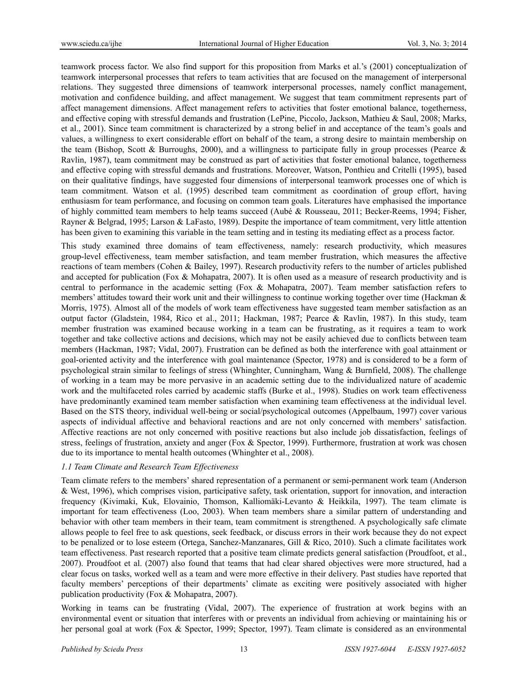teamwork process factor. We also find support for this proposition from Marks et al.'s (2001) conceptualization of teamwork interpersonal processes that refers to team activities that are focused on the management of interpersonal relations. They suggested three dimensions of teamwork interpersonal processes, namely conflict management, motivation and confidence building, and affect management. We suggest that team commitment represents part of affect management dimensions. Affect management refers to activities that foster emotional balance, togetherness, and effective coping with stressful demands and frustration (LePine, Piccolo, Jackson, Mathieu & Saul, 2008; Marks, et al., 2001). Since team commitment is characterized by a strong belief in and acceptance of the team's goals and values, a willingness to exert considerable effort on behalf of the team, a strong desire to maintain membership on the team (Bishop, Scott & Burroughs, 2000), and a willingness to participate fully in group processes (Pearce  $\&$ Ravlin, 1987), team commitment may be construed as part of activities that foster emotional balance, togetherness and effective coping with stressful demands and frustrations. Moreover, Watson, Ponthieu and Critelli (1995), based on their qualitative findings, have suggested four dimensions of interpersonal teamwork processes one of which is team commitment. Watson et al. (1995) described team commitment as coordination of group effort, having enthusiasm for team performance, and focusing on common team goals. Literatures have emphasised the importance of highly committed team members to help teams succeed (Aubé & Rousseau, 2011; Becker-Reems, 1994; Fisher, Rayner & Belgrad, 1995; Larson & LaFasto, 1989). Despite the importance of team commitment, very little attention has been given to examining this variable in the team setting and in testing its mediating effect as a process factor.

This study examined three domains of team effectiveness, namely: research productivity, which measures group-level effectiveness, team member satisfaction, and team member frustration, which measures the affective reactions of team members (Cohen & Bailey, 1997). Research productivity refers to the number of articles published and accepted for publication (Fox & Mohapatra, 2007). It is often used as a measure of research productivity and is central to performance in the academic setting (Fox & Mohapatra, 2007). Team member satisfaction refers to members' attitudes toward their work unit and their willingness to continue working together over time (Hackman & Morris, 1975). Almost all of the models of work team effectiveness have suggested team member satisfaction as an output factor (Gladstein, 1984, Rico et al., 2011; Hackman, 1987; Pearce & Ravlin, 1987). In this study, team member frustration was examined because working in a team can be frustrating, as it requires a team to work together and take collective actions and decisions, which may not be easily achieved due to conflicts between team members (Hackman, 1987; Vidal, 2007). Frustration can be defined as both the interference with goal attainment or goal-oriented activity and the interference with goal maintenance (Spector, 1978) and is considered to be a form of psychological strain similar to feelings of stress (Whinghter, Cunningham, Wang & Burnfield, 2008). The challenge of working in a team may be more pervasive in an academic setting due to the individualized nature of academic work and the multifaceted roles carried by academic staffs (Burke et al., 1998). Studies on work team effectiveness have predominantly examined team member satisfaction when examining team effectiveness at the individual level. Based on the STS theory, individual well-being or social/psychological outcomes (Appelbaum, 1997) cover various aspects of individual affective and behavioral reactions and are not only concerned with members' satisfaction. Affective reactions are not only concerned with positive reactions but also include job dissatisfaction, feelings of stress, feelings of frustration, anxiety and anger (Fox & Spector, 1999). Furthermore, frustration at work was chosen due to its importance to mental health outcomes (Whinghter et al., 2008).

## *1.1 Team Climate and Research Team Effectiveness*

Team climate refers to the members' shared representation of a permanent or semi-permanent work team (Anderson & West, 1996), which comprises vision, participative safety, task orientation, support for innovation, and interaction frequency (Kivimaki, Kuk, Elovainio, Thomson, Kalliomäki-Levanto & Heikkila, 1997). The team climate is important for team effectiveness (Loo, 2003). When team members share a similar pattern of understanding and behavior with other team members in their team, team commitment is strengthened. A psychologically safe climate allows people to feel free to ask questions, seek feedback, or discuss errors in their work because they do not expect to be penalized or to lose esteem (Ortega, Sanchez-Manzanares, Gill & Rico, 2010). Such a climate facilitates work team effectiveness. Past research reported that a positive team climate predicts general satisfaction (Proudfoot, et al., 2007). Proudfoot et al. (2007) also found that teams that had clear shared objectives were more structured, had a clear focus on tasks, worked well as a team and were more effective in their delivery. Past studies have reported that faculty members' perceptions of their departments' climate as exciting were positively associated with higher publication productivity (Fox & Mohapatra, 2007).

Working in teams can be frustrating (Vidal, 2007). The experience of frustration at work begins with an environmental event or situation that interferes with or prevents an individual from achieving or maintaining his or her personal goal at work (Fox & Spector, 1999; Spector, 1997). Team climate is considered as an environmental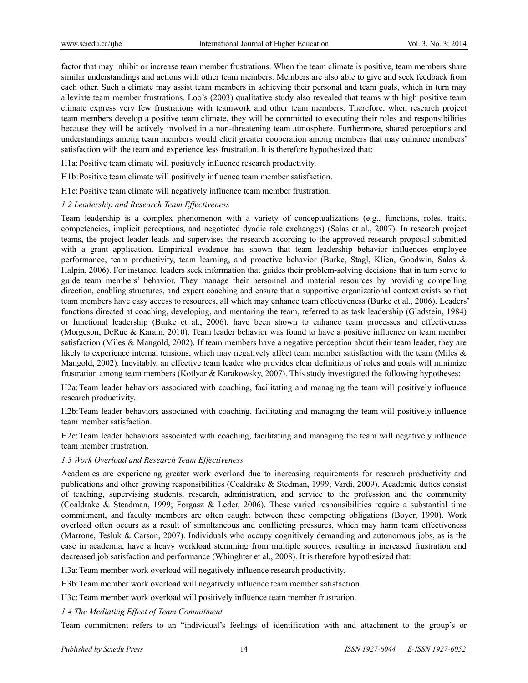factor that may inhibit or increase team member frustrations. When the team climate is positive, team members share similar understandings and actions with other team members. Members are also able to give and seek feedback from each other. Such a climate may assist team members in achieving their personal and team goals, which in turn may alleviate team member frustrations. Loo's (2003) qualitative study also revealed that teams with high positive team climate express very few frustrations with teamwork and other team members. Therefore, when research project team members develop a positive team climate, they will be committed to executing their roles and responsibilities because they will be actively involved in a non-threatening team atmosphere. Furthermore, shared perceptions and understandings among team members would elicit greater cooperation among members that may enhance members' satisfaction with the team and experience less frustration. It is therefore hypothesized that:

H1a: Positive team climate will positively influence research productivity.

H1b: Positive team climate will positively influence team member satisfaction.

H1c: Positive team climate will negatively influence team member frustration.

### *1.2 Leadership and Research Team Effectiveness*

Team leadership is a complex phenomenon with a variety of conceptualizations (e.g., functions, roles, traits, competencies, implicit perceptions, and negotiated dyadic role exchanges) (Salas et al., 2007). In research project teams, the project leader leads and supervises the research according to the approved research proposal submitted with a grant application. Empirical evidence has shown that team leadership behavior influences employee performance, team productivity, team learning, and proactive behavior (Burke, Stagl, Klien, Goodwin, Salas & Halpin, 2006). For instance, leaders seek information that guides their problem-solving decisions that in turn serve to guide team members' behavior. They manage their personnel and material resources by providing compelling direction, enabling structures, and expert coaching and ensure that a supportive organizational context exists so that team members have easy access to resources, all which may enhance team effectiveness (Burke et al., 2006). Leaders' functions directed at coaching, developing, and mentoring the team, referred to as task leadership (Gladstein, 1984) or functional leadership (Burke et al., 2006), have been shown to enhance team processes and effectiveness (Morgeson, DeRue & Karam, 2010). Team leader behavior was found to have a positive influence on team member satisfaction (Miles & Mangold, 2002). If team members have a negative perception about their team leader, they are likely to experience internal tensions, which may negatively affect team member satisfaction with the team (Miles & Mangold, 2002). Inevitably, an effective team leader who provides clear definitions of roles and goals will minimize frustration among team members (Kotlyar & Karakowsky, 2007). This study investigated the following hypotheses:

H2a: Team leader behaviors associated with coaching, facilitating and managing the team will positively influence research productivity.

H2b: Team leader behaviors associated with coaching, facilitating and managing the team will positively influence team member satisfaction.

H2c: Team leader behaviors associated with coaching, facilitating and managing the team will negatively influence team member frustration.

### *1.3 Work Overload and Research Team Effectiveness*

Academics are experiencing greater work overload due to increasing requirements for research productivity and publications and other growing responsibilities (Coaldrake & Stedman, 1999; Vardi, 2009). Academic duties consist of teaching, supervising students, research, administration, and service to the profession and the community (Coaldrake & Steadman, 1999; Forgasz & Leder, 2006). These varied responsibilities require a substantial time commitment, and faculty members are often caught between these competing obligations (Boyer, 1990). Work overload often occurs as a result of simultaneous and conflicting pressures, which may harm team effectiveness (Marrone, Tesluk & Carson, 2007). Individuals who occupy cognitively demanding and autonomous jobs, as is the case in academia, have a heavy workload stemming from multiple sources, resulting in increased frustration and decreased job satisfaction and performance (Whinghter et al., 2008). It is therefore hypothesized that:

H3a: Team member work overload will negatively influence research productivity.

H3b: Team member work overload will negatively influence team member satisfaction.

H3c: Team member work overload will positively influence team member frustration.

*1.4 The Mediating Effect of Team Commitment* 

Team commitment refers to an "individual's feelings of identification with and attachment to the group's or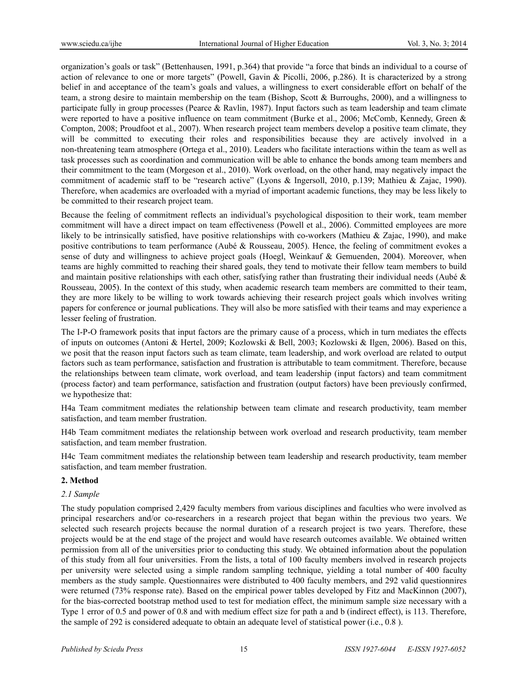organization's goals or task" (Bettenhausen, 1991, p.364) that provide "a force that binds an individual to a course of action of relevance to one or more targets" (Powell, Gavin & Picolli, 2006, p.286). It is characterized by a strong belief in and acceptance of the team's goals and values, a willingness to exert considerable effort on behalf of the team, a strong desire to maintain membership on the team (Bishop, Scott & Burroughs, 2000), and a willingness to participate fully in group processes (Pearce & Ravlin, 1987). Input factors such as team leadership and team climate were reported to have a positive influence on team commitment (Burke et al., 2006; McComb, Kennedy, Green & Compton, 2008; Proudfoot et al., 2007). When research project team members develop a positive team climate, they will be committed to executing their roles and responsibilities because they are actively involved in a non-threatening team atmosphere (Ortega et al., 2010). Leaders who facilitate interactions within the team as well as task processes such as coordination and communication will be able to enhance the bonds among team members and their commitment to the team (Morgeson et al., 2010). Work overload, on the other hand, may negatively impact the commitment of academic staff to be "research active" (Lyons & Ingersoll, 2010, p.139; Mathieu & Zajac, 1990). Therefore, when academics are overloaded with a myriad of important academic functions, they may be less likely to be committed to their research project team.

Because the feeling of commitment reflects an individual's psychological disposition to their work, team member commitment will have a direct impact on team effectiveness (Powell et al., 2006). Committed employees are more likely to be intrinsically satisfied, have positive relationships with co-workers (Mathieu & Zajac, 1990), and make positive contributions to team performance (Aubé & Rousseau, 2005). Hence, the feeling of commitment evokes a sense of duty and willingness to achieve project goals (Hoegl, Weinkauf & Gemuenden, 2004). Moreover, when teams are highly committed to reaching their shared goals, they tend to motivate their fellow team members to build and maintain positive relationships with each other, satisfying rather than frustrating their individual needs (Aubé  $\&$ Rousseau, 2005). In the context of this study, when academic research team members are committed to their team, they are more likely to be willing to work towards achieving their research project goals which involves writing papers for conference or journal publications. They will also be more satisfied with their teams and may experience a lesser feeling of frustration.

The I-P-O framework posits that input factors are the primary cause of a process, which in turn mediates the effects of inputs on outcomes (Antoni & Hertel, 2009; Kozlowski & Bell, 2003; Kozlowski & Ilgen, 2006). Based on this, we posit that the reason input factors such as team climate, team leadership, and work overload are related to output factors such as team performance, satisfaction and frustration is attributable to team commitment. Therefore, because the relationships between team climate, work overload, and team leadership (input factors) and team commitment (process factor) and team performance, satisfaction and frustration (output factors) have been previously confirmed, we hypothesize that:

H4a Team commitment mediates the relationship between team climate and research productivity, team member satisfaction, and team member frustration.

H4b Team commitment mediates the relationship between work overload and research productivity, team member satisfaction, and team member frustration.

H4c Team commitment mediates the relationship between team leadership and research productivity, team member satisfaction, and team member frustration.

## **2. Method**

### *2.1 Sample*

The study population comprised 2,429 faculty members from various disciplines and faculties who were involved as principal researchers and/or co-researchers in a research project that began within the previous two years. We selected such research projects because the normal duration of a research project is two years. Therefore, these projects would be at the end stage of the project and would have research outcomes available. We obtained written permission from all of the universities prior to conducting this study. We obtained information about the population of this study from all four universities. From the lists, a total of 100 faculty members involved in research projects per university were selected using a simple random sampling technique, yielding a total number of 400 faculty members as the study sample. Questionnaires were distributed to 400 faculty members, and 292 valid questionnires were returned (73% response rate). Based on the empirical power tables developed by Fitz and MacKinnon (2007), for the bias-corrected bootstrap method used to test for mediation effect, the minimum sample size necessary with a Type 1 error of 0.5 and power of 0.8 and with medium effect size for path a and b (indirect effect), is 113. Therefore, the sample of 292 is considered adequate to obtain an adequate level of statistical power (i.e., 0.8 ).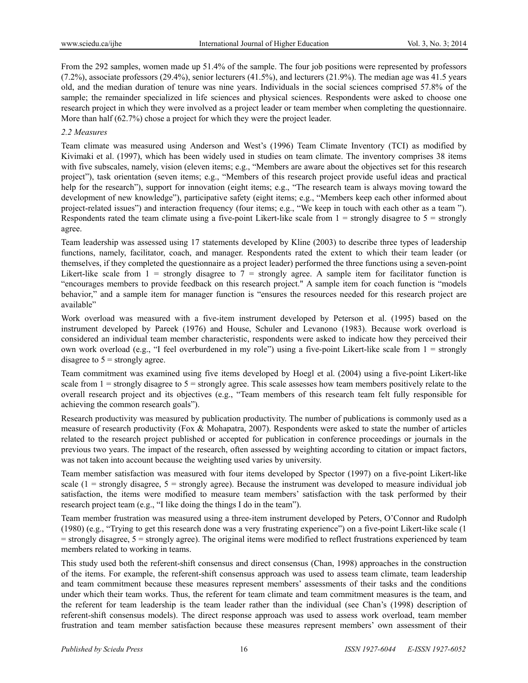From the 292 samples, women made up 51.4% of the sample. The four job positions were represented by professors  $(7.2\%)$ , associate professors  $(29.4\%)$ , senior lecturers  $(41.5\%)$ , and lecturers  $(21.9\%)$ . The median age was 41.5 years old, and the median duration of tenure was nine years. Individuals in the social sciences comprised 57.8% of the sample; the remainder specialized in life sciences and physical sciences. Respondents were asked to choose one research project in which they were involved as a project leader or team member when completing the questionnaire. More than half (62.7%) chose a project for which they were the project leader.

## *2.2 Measures*

Team climate was measured using Anderson and West's (1996) Team Climate Inventory (TCI) as modified by Kivimaki et al. (1997), which has been widely used in studies on team climate. The inventory comprises 38 items with five subscales, namely, vision (eleven items; e.g., "Members are aware about the objectives set for this research project"), task orientation (seven items; e.g., "Members of this research project provide useful ideas and practical help for the research"), support for innovation (eight items; e.g., "The research team is always moving toward the development of new knowledge"), participative safety (eight items; e.g., "Members keep each other informed about project-related issues") and interaction frequency (four items; e.g., "We keep in touch with each other as a team "). Respondents rated the team climate using a five-point Likert-like scale from  $1 =$  strongly disagree to  $5 =$  strongly agree.

Team leadership was assessed using 17 statements developed by Kline (2003) to describe three types of leadership functions, namely, facilitator, coach, and manager. Respondents rated the extent to which their team leader (or themselves, if they completed the questionnaire as a project leader) performed the three functions using a seven-point Likert-like scale from  $1 =$  strongly disagree to  $7 =$  strongly agree. A sample item for facilitator function is "encourages members to provide feedback on this research project." A sample item for coach function is "models behavior," and a sample item for manager function is "ensures the resources needed for this research project are available"

Work overload was measured with a five-item instrument developed by Peterson et al. (1995) based on the instrument developed by Pareek (1976) and House, Schuler and Levanono (1983). Because work overload is considered an individual team member characteristic, respondents were asked to indicate how they perceived their own work overload (e.g., "I feel overburdened in my role") using a five-point Likert-like scale from 1 = strongly disagree to  $5 =$  strongly agree.

Team commitment was examined using five items developed by Hoegl et al. (2004) using a five-point Likert-like scale from  $1 =$  strongly disagree to  $5 =$  strongly agree. This scale assesses how team members positively relate to the overall research project and its objectives (e.g., "Team members of this research team felt fully responsible for achieving the common research goals").

Research productivity was measured by publication productivity. The number of publications is commonly used as a measure of research productivity (Fox & Mohapatra, 2007). Respondents were asked to state the number of articles related to the research project published or accepted for publication in conference proceedings or journals in the previous two years. The impact of the research, often assessed by weighting according to citation or impact factors, was not taken into account because the weighting used varies by university.

Team member satisfaction was measured with four items developed by Spector (1997) on a five-point Likert-like scale  $(1 =$  strongly disagree,  $5 =$  strongly agree). Because the instrument was developed to measure individual job satisfaction, the items were modified to measure team members' satisfaction with the task performed by their research project team (e.g., "I like doing the things I do in the team").

Team member frustration was measured using a three-item instrument developed by Peters, O'Connor and Rudolph (1980) (e.g., "Trying to get this research done was a very frustrating experience") on a five-point Likert-like scale (1  $=$  strongly disagree,  $5 =$  strongly agree). The original items were modified to reflect frustrations experienced by team members related to working in teams.

This study used both the referent-shift consensus and direct consensus (Chan, 1998) approaches in the construction of the items. For example, the referent-shift consensus approach was used to assess team climate, team leadership and team commitment because these measures represent members' assessments of their tasks and the conditions under which their team works. Thus, the referent for team climate and team commitment measures is the team, and the referent for team leadership is the team leader rather than the individual (see Chan's (1998) description of referent-shift consensus models). The direct response approach was used to assess work overload, team member frustration and team member satisfaction because these measures represent members' own assessment of their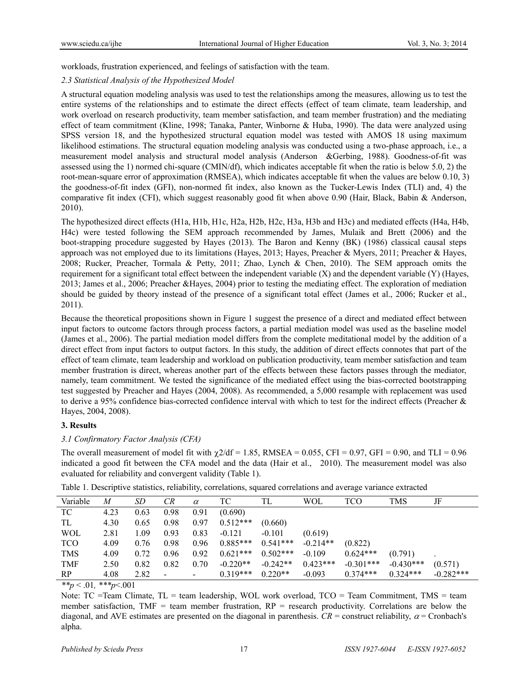workloads, frustration experienced, and feelings of satisfaction with the team.

## *2.3 Statistical Analysis of the Hypothesized Model*

A structural equation modeling analysis was used to test the relationships among the measures, allowing us to test the entire systems of the relationships and to estimate the direct effects (effect of team climate, team leadership, and work overload on research productivity, team member satisfaction, and team member frustration) and the mediating effect of team commitment (Kline, 1998; Tanaka, Panter, Winborne & Huba, 1990). The data were analyzed using SPSS version 18, and the hypothesized structural equation model was tested with AMOS 18 using maximum likelihood estimations. The structural equation modeling analysis was conducted using a two-phase approach, i.e., a measurement model analysis and structural model analysis (Anderson &Gerbing, 1988). Goodness-of-fit was assessed using the 1) normed chi-square (CMIN/df), which indicates acceptable fit when the ratio is below 5.0, 2) the root-mean-square error of approximation (RMSEA), which indicates acceptable fit when the values are below 0.10, 3) the goodness-of-fit index (GFI), non-normed fit index, also known as the Tucker-Lewis Index (TLI) and, 4) the comparative fit index (CFI), which suggest reasonably good fit when above 0.90 (Hair, Black, Babin & Anderson, 2010).

The hypothesized direct effects (H1a, H1b, H1c, H2a, H2b, H2c, H3a, H3b and H3c) and mediated effects (H4a, H4b, H4c) were tested following the SEM approach recommended by James, Mulaik and Brett (2006) and the boot-strapping procedure suggested by Hayes (2013). The Baron and Kenny (BK) (1986) classical causal steps approach was not employed due to its limitations (Hayes, 2013; Hayes, Preacher & Myers, 2011; Preacher & Hayes, 2008; Rucker, Preacher, Tormala & Petty, 2011; Zhao, Lynch & Chen, 2010). The SEM approach omits the requirement for a significant total effect between the independent variable  $(X)$  and the dependent variable  $(Y)$  (Hayes, 2013; James et al., 2006; Preacher &Hayes, 2004) prior to testing the mediating effect. The exploration of mediation should be guided by theory instead of the presence of a significant total effect (James et al., 2006; Rucker et al., 2011).

Because the theoretical propositions shown in Figure 1 suggest the presence of a direct and mediated effect between input factors to outcome factors through process factors, a partial mediation model was used as the baseline model (James et al., 2006). The partial mediation model differs from the complete meditational model by the addition of a direct effect from input factors to output factors. In this study, the addition of direct effects connotes that part of the effect of team climate, team leadership and workload on publication productivity, team member satisfaction and team member frustration is direct, whereas another part of the effects between these factors passes through the mediator, namely, team commitment. We tested the significance of the mediated effect using the bias-corrected bootstrapping test suggested by Preacher and Hayes (2004, 2008). As recommended, a 5,000 resample with replacement was used to derive a 95% confidence bias-corrected confidence interval with which to test for the indirect effects (Preacher & Hayes, 2004, 2008).

## **3. Results**

#### *3.1 Confirmatory Factor Analysis (CFA)*

The overall measurement of model fit with  $\chi$ 2/df = 1.85, RMSEA = 0.055, CFI = 0.97, GFI = 0.90, and TLI = 0.96 indicated a good fit between the CFA model and the data (Hair et al., 2010). The measurement model was also evaluated for reliability and convergent validity (Table 1).

| Variable   | M    | SD   | CR                       | $\alpha$ | ТC         | TL         | WOL        | TCO         | <b>TMS</b>  | JF          |
|------------|------|------|--------------------------|----------|------------|------------|------------|-------------|-------------|-------------|
| TC         | 4.23 | 0.63 | 0.98                     | 0.91     | (0.690)    |            |            |             |             |             |
| TL         | 4.30 | 0.65 | 0.98                     | 0.97     | $0.512***$ | (0.660)    |            |             |             |             |
| <b>WOL</b> | 2.81 | 1.09 | 0.93                     | 0.83     | $-0.121$   | $-0.101$   | (0.619)    |             |             |             |
| <b>TCO</b> | 4.09 | 0.76 | 0.98                     | 0.96     | $0.885***$ | $0.541***$ | $-0.214**$ | (0.822)     |             |             |
| <b>TMS</b> | 4.09 | 0.72 | 0.96                     | 0.92     | $0.621***$ | $0.502***$ | $-0.109$   | $0.624***$  | (0.791)     |             |
| <b>TMF</b> | 2.50 | 0.82 | 0.82                     | 0.70     | $-0.220**$ | $-0.242**$ | $0.423***$ | $-0.301***$ | $-0.430***$ | (0.571)     |
| RP         | 4.08 | 2.82 | $\overline{\phantom{a}}$ | ۰.       | $0.319***$ | $0.220**$  | $-0.093$   | $0.374***$  | $0.324***$  | $-0.282***$ |

Table 1. Descriptive statistics, reliability, correlations, squared correlations and average variance extracted

*\*\*p* < .01*, \*\*\*p*<.001

Note: TC =Team Climate, TL = team leadership, WOL work overload, TCO = Team Commitment, TMS = team member satisfaction,  $TMF =$  team member frustration,  $RP =$  research productivity. Correlations are below the diagonal, and AVE estimates are presented on the diagonal in parenthesis.  $CR =$  construct reliability,  $\alpha$  = Cronbach's alpha.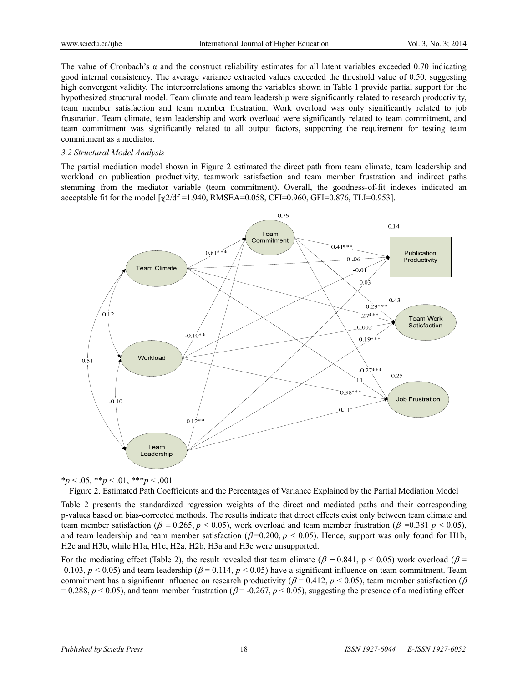The value of Cronbach's  $\alpha$  and the construct reliability estimates for all latent variables exceeded 0.70 indicating good internal consistency. The average variance extracted values exceeded the threshold value of 0.50, suggesting high convergent validity. The intercorrelations among the variables shown in Table 1 provide partial support for the hypothesized structural model. Team climate and team leadership were significantly related to research productivity, team member satisfaction and team member frustration. Work overload was only significantly related to job frustration. Team climate, team leadership and work overload were significantly related to team commitment, and team commitment was significantly related to all output factors, supporting the requirement for testing team commitment as a mediator.

#### *3.2 Structural Model Analysis*

The partial mediation model shown in Figure 2 estimated the direct path from team climate, team leadership and workload on publication productivity, teamwork satisfaction and team member frustration and indirect paths stemming from the mediator variable (team commitment). Overall, the goodness-of-fit indexes indicated an acceptable fit for the model  $\left[\frac{\gamma 2}{dt}\right] = 1.940$ , RMSEA=0.058, CFI=0.960, GFI=0.876, TLI=0.953].





Figure 2. Estimated Path Coefficients and the Percentages of Variance Explained by the Partial Mediation Model

Table 2 presents the standardized regression weights of the direct and mediated paths and their corresponding p-values based on bias-corrected methods. The results indicate that direct effects exist only between team climate and team member satisfaction ( $\beta = 0.265$ ,  $p < 0.05$ ), work overload and team member frustration ( $\beta =0.381$   $p < 0.05$ ), and team leadership and team member satisfaction  $(\beta=0.200, p < 0.05)$ . Hence, support was only found for H1b, H2c and H3b, while H1a, H1c, H2a, H2b, H3a and H3c were unsupported.

For the mediating effect (Table 2), the result revealed that team climate ( $\beta = 0.841$ , p < 0.05) work overload ( $\beta$  =  $-0.103$ ,  $p < 0.05$ ) and team leadership ( $\beta = 0.114$ ,  $p < 0.05$ ) have a significant influence on team commitment. Team commitment has a significant influence on research productivity ( $\beta$  = 0.412,  $p$  < 0.05), team member satisfaction ( $\beta$ )  $= 0.288, p < 0.05$ , and team member frustration ( $\beta = -0.267, p < 0.05$ ), suggesting the presence of a mediating effect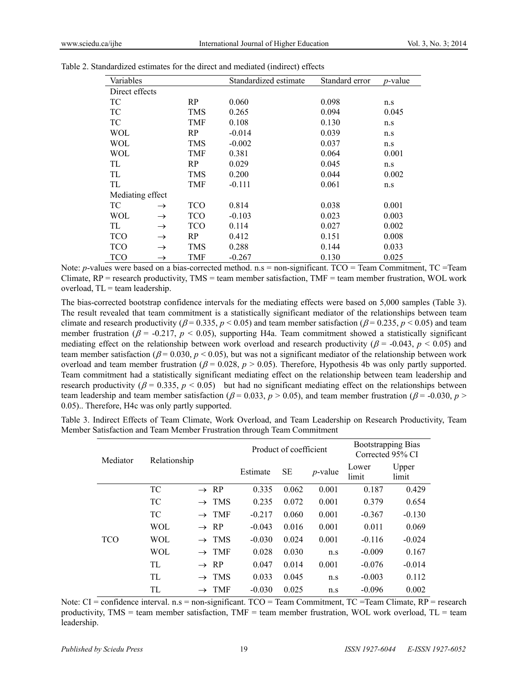| Variables        |               |            | Standardized estimate | Standard error | <i>p</i> -value |
|------------------|---------------|------------|-----------------------|----------------|-----------------|
| Direct effects   |               |            |                       |                |                 |
| ТC               |               | RP.        | 0.060                 | 0.098          | n.s             |
| TC               |               | TMS        | 0.265                 | 0.094          | 0.045           |
| TC               |               | TMF        | 0.108                 | 0.130          | n.s             |
| WOL              |               | <b>RP</b>  | $-0.014$              | 0.039          | n.s             |
| WOL              |               | TMS        | $-0.002$              | 0.037          | n.s             |
| WOL              |               | TMF        | 0.381                 | 0.064          | 0.001           |
| TL               |               | RP         | 0.029                 | 0.045          | n.s             |
| TL.              |               | TMS        | 0.200                 | 0.044          | 0.002           |
| TL.              |               | <b>TMF</b> | $-0.111$              | 0.061          | n.s             |
| Mediating effect |               |            |                       |                |                 |
| TC               | $\rightarrow$ | TCO        | 0.814                 | 0.038          | 0.001           |
| WOL              | $\rightarrow$ | <b>TCO</b> | $-0.103$              | 0.023          | 0.003           |
| TL.              | $\rightarrow$ | TCO        | 0.114                 | 0.027          | 0.002           |
| <b>TCO</b>       | $\rightarrow$ | RP         | 0.412                 | 0.151          | 0.008           |
| <b>TCO</b>       | $\rightarrow$ | TMS        | 0.288                 | 0.144          | 0.033           |
| TCO              | $\rightarrow$ | TMF        | $-0.267$              | 0.130          | 0.025           |

Table 2. Standardized estimates for the direct and mediated (indirect) effects

Note: *p*-values were based on a bias-corrected method. n.s = non-significant. TCO = Team Commitment, TC = Team Climate,  $RP$  = research productivity, TMS = team member satisfaction, TMF = team member frustration, WOL work overload,  $TL =$  team leadership.

The bias-corrected bootstrap confidence intervals for the mediating effects were based on 5,000 samples (Table 3). The result revealed that team commitment is a statistically significant mediator of the relationships between team climate and research productivity ( $\beta$  = 0.335, *p* < 0.05) and team member satisfaction ( $\beta$  = 0.235, *p* < 0.05) and team member frustration ( $\beta$  = -0.217,  $p$  < 0.05), supporting H4a. Team commitment showed a statistically significant mediating effect on the relationship between work overload and research productivity ( $\beta$  = -0.043,  $p$  < 0.05) and team member satisfaction ( $\beta$  = 0.030,  $p$  < 0.05), but was not a significant mediator of the relationship between work overload and team member frustration ( $\beta$  = 0.028,  $p$  > 0.05). Therefore, Hypothesis 4b was only partly supported. Team commitment had a statistically significant mediating effect on the relationship between team leadership and research productivity ( $\beta$  = 0.335,  $p$  < 0.05) but had no significant mediating effect on the relationships between team leadership and team member satisfaction ( $\beta$  = 0.033, *p* > 0.05), and team member frustration ( $\beta$  = -0.030, *p* > 0.05).. Therefore, H4c was only partly supported.

Table 3. Indirect Effects of Team Climate, Work Overload, and Team Leadership on Research Productivity, Team Member Satisfaction and Team Member Frustration through Team Commitment

| Mediator   | Relationship |               |                  |          | Product of coefficient | <b>Bootstrapping Bias</b><br>Corrected 95% CI |                |                |
|------------|--------------|---------------|------------------|----------|------------------------|-----------------------------------------------|----------------|----------------|
|            |              |               |                  | Estimate | <b>SE</b>              | <i>p</i> -value                               | Lower<br>limit | Upper<br>limit |
| <b>TCO</b> | TC           |               | $\rightarrow$ RP | 0.335    | 0.062                  | 0.001                                         | 0.187          | 0.429          |
|            | TC           | $\rightarrow$ | <b>TMS</b>       | 0.235    | 0.072                  | 0.001                                         | 0.379          | 0.654          |
|            | TC           | $\rightarrow$ | <b>TMF</b>       | $-0.217$ | 0.060                  | 0.001                                         | $-0.367$       | $-0.130$       |
|            | WOL.         | $\rightarrow$ | <b>RP</b>        | $-0.043$ | 0.016                  | 0.001                                         | 0.011          | 0.069          |
|            | WOL.         | $\rightarrow$ | <b>TMS</b>       | $-0.030$ | 0.024                  | 0.001                                         | $-0.116$       | $-0.024$       |
|            | WOL          | $\rightarrow$ | <b>TMF</b>       | 0.028    | 0.030                  | n.s                                           | $-0.009$       | 0.167          |
|            | TL.          | $\rightarrow$ | <b>RP</b>        | 0.047    | 0.014                  | 0.001                                         | $-0.076$       | $-0.014$       |
|            | TL.          | $\rightarrow$ | <b>TMS</b>       | 0.033    | 0.045                  | n.s                                           | $-0.003$       | 0.112          |
|            | TL.          |               | <b>TMF</b>       | $-0.030$ | 0.025                  | n.s                                           | $-0.096$       | 0.002          |

Note: CI = confidence interval. n.s = non-significant. TCO = Team Commitment, TC = Team Climate, RP = research productivity, TMS = team member satisfaction, TMF = team member frustration, WOL work overload, TL = team leadership.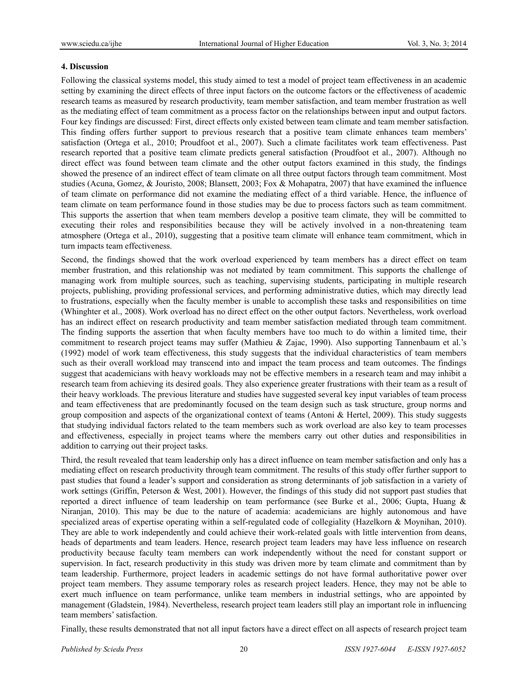#### **4. Discussion**

Following the classical systems model, this study aimed to test a model of project team effectiveness in an academic setting by examining the direct effects of three input factors on the outcome factors or the effectiveness of academic research teams as measured by research productivity, team member satisfaction, and team member frustration as well as the mediating effect of team commitment as a process factor on the relationships between input and output factors. Four key findings are discussed: First, direct effects only existed between team climate and team member satisfaction. This finding offers further support to previous research that a positive team climate enhances team members' satisfaction (Ortega et al., 2010; Proudfoot et al., 2007). Such a climate facilitates work team effectiveness. Past research reported that a positive team climate predicts general satisfaction (Proudfoot et al., 2007). Although no direct effect was found between team climate and the other output factors examined in this study, the findings showed the presence of an indirect effect of team climate on all three output factors through team commitment. Most studies (Acuna, Gomez, & Jouristo, 2008; Blansett, 2003; Fox & Mohapatra, 2007) that have examined the influence of team climate on performance did not examine the mediating effect of a third variable. Hence, the influence of team climate on team performance found in those studies may be due to process factors such as team commitment. This supports the assertion that when team members develop a positive team climate, they will be committed to executing their roles and responsibilities because they will be actively involved in a non-threatening team atmosphere (Ortega et al., 2010), suggesting that a positive team climate will enhance team commitment, which in turn impacts team effectiveness.

Second, the findings showed that the work overload experienced by team members has a direct effect on team member frustration, and this relationship was not mediated by team commitment. This supports the challenge of managing work from multiple sources, such as teaching, supervising students, participating in multiple research projects, publishing, providing professional services, and performing administrative duties, which may directly lead to frustrations, especially when the faculty member is unable to accomplish these tasks and responsibilities on time (Whinghter et al., 2008). Work overload has no direct effect on the other output factors. Nevertheless, work overload has an indirect effect on research productivity and team member satisfaction mediated through team commitment. The finding supports the assertion that when faculty members have too much to do within a limited time, their commitment to research project teams may suffer (Mathieu & Zajac, 1990). Also supporting Tannenbaum et al.'s (1992) model of work team effectiveness, this study suggests that the individual characteristics of team members such as their overall workload may transcend into and impact the team process and team outcomes. The findings suggest that academicians with heavy workloads may not be effective members in a research team and may inhibit a research team from achieving its desired goals. They also experience greater frustrations with their team as a result of their heavy workloads. The previous literature and studies have suggested several key input variables of team process and team effectiveness that are predominantly focused on the team design such as task structure, group norms and group composition and aspects of the organizational context of teams (Antoni  $\&$  Hertel, 2009). This study suggests that studying individual factors related to the team members such as work overload are also key to team processes and effectiveness, especially in project teams where the members carry out other duties and responsibilities in addition to carrying out their project tasks.

Third, the result revealed that team leadership only has a direct influence on team member satisfaction and only has a mediating effect on research productivity through team commitment. The results of this study offer further support to past studies that found a leader's support and consideration as strong determinants of job satisfaction in a variety of work settings (Griffin, Peterson & West, 2001). However, the findings of this study did not support past studies that reported a direct influence of team leadership on team performance (see Burke et al., 2006; Gupta, Huang & Niranjan, 2010). This may be due to the nature of academia: academicians are highly autonomous and have specialized areas of expertise operating within a self-regulated code of collegiality (Hazelkorn & Moynihan, 2010). They are able to work independently and could achieve their work-related goals with little intervention from deans, heads of departments and team leaders. Hence, research project team leaders may have less influence on research productivity because faculty team members can work independently without the need for constant support or supervision. In fact, research productivity in this study was driven more by team climate and commitment than by team leadership. Furthermore, project leaders in academic settings do not have formal authoritative power over project team members. They assume temporary roles as research project leaders. Hence, they may not be able to exert much influence on team performance, unlike team members in industrial settings, who are appointed by management (Gladstein, 1984). Nevertheless, research project team leaders still play an important role in influencing team members' satisfaction.

Finally, these results demonstrated that not all input factors have a direct effect on all aspects of research project team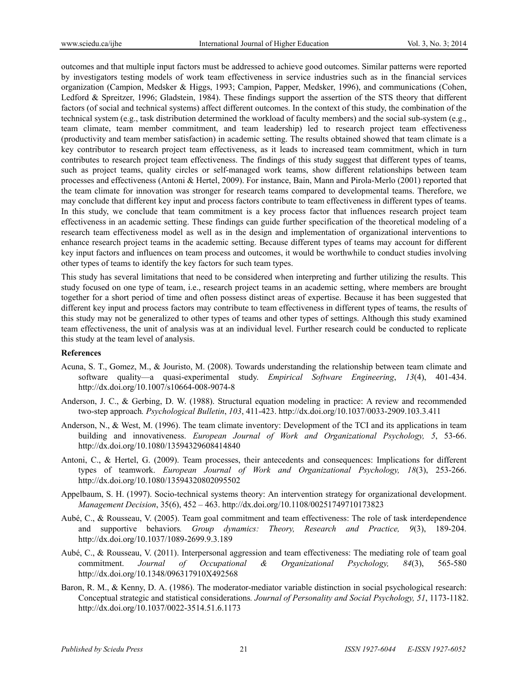outcomes and that multiple input factors must be addressed to achieve good outcomes. Similar patterns were reported by investigators testing models of work team effectiveness in service industries such as in the financial services organization (Campion, Medsker & Higgs, 1993; Campion, Papper, Medsker, 1996), and communications (Cohen, Ledford & Spreitzer, 1996; Gladstein, 1984). These findings support the assertion of the STS theory that different factors (of social and technical systems) affect different outcomes. In the context of this study, the combination of the technical system (e.g., task distribution determined the workload of faculty members) and the social sub-system (e.g., team climate, team member commitment, and team leadership) led to research project team effectiveness (productivity and team member satisfaction) in academic setting. The results obtained showed that team climate is a key contributor to research project team effectiveness, as it leads to increased team commitment, which in turn contributes to research project team effectiveness. The findings of this study suggest that different types of teams, such as project teams, quality circles or self-managed work teams, show different relationships between team processes and effectiveness (Antoni & Hertel, 2009). For instance, Bain, Mann and Pirola-Merlo (2001) reported that the team climate for innovation was stronger for research teams compared to developmental teams. Therefore, we may conclude that different key input and process factors contribute to team effectiveness in different types of teams. In this study, we conclude that team commitment is a key process factor that influences research project team effectiveness in an academic setting. These findings can guide further specification of the theoretical modeling of a research team effectiveness model as well as in the design and implementation of organizational interventions to enhance research project teams in the academic setting. Because different types of teams may account for different key input factors and influences on team process and outcomes, it would be worthwhile to conduct studies involving other types of teams to identify the key factors for such team types.

This study has several limitations that need to be considered when interpreting and further utilizing the results. This study focused on one type of team, i.e., research project teams in an academic setting, where members are brought together for a short period of time and often possess distinct areas of expertise. Because it has been suggested that different key input and process factors may contribute to team effectiveness in different types of teams, the results of this study may not be generalized to other types of teams and other types of settings. Although this study examined team effectiveness, the unit of analysis was at an individual level. Further research could be conducted to replicate this study at the team level of analysis.

### **References**

- Acuna, S. T., Gomez, M., & Jouristo, M. (2008). Towards understanding the relationship between team climate and software quality—a quasi-experimental study. *Empirical Software Engineering*, *13*(4), 401-434. http://dx.doi.org/10.1007/s10664-008-9074-8
- Anderson, J. C., & Gerbing, D. W. (1988). Structural equation modeling in practice: A review and recommended two-step approach*. Psychological Bulletin*, *103*, 411-423. http://dx.doi.org/10.1037/0033-2909.103.3.411
- Anderson, N., & West, M. (1996). The team climate inventory: Development of the TCI and its applications in team building and innovativeness. *European Journal of Work and Organizational Psychology, 5*, 53-66. http://dx.doi.org/10.1080/13594329608414840
- Antoni, C., & Hertel, G. (2009). Team processes, their antecedents and consequences: Implications for different types of teamwork. *European Journal of Work and Organizational Psychology, 18*(3), 253-266. http://dx.doi.org/10.1080/13594320802095502
- Appelbaum, S. H. (1997). Socio-technical systems theory: An intervention strategy for organizational development. *Management Decision*, 35(6), 452 – 463. http://dx.doi.org/10.1108/00251749710173823
- Aubé, C., & Rousseau, V. (2005). Team goal commitment and team effectiveness: The role of task interdependence and supportive behaviors*. Group dynamics: Theory, Research and Practice, 9*(3), 189-204. http://dx.doi.org/10.1037/1089-2699.9.3.189
- Aubé, C., & Rousseau, V. (2011). Interpersonal aggression and team effectiveness: The mediating role of team goal commitment. *Journal of Occupational & Organizational Psychology, 84*(3), 565-580 http://dx.doi.org/10.1348/096317910X492568
- Baron, R. M., & Kenny, D. A. (1986). The moderator-mediator variable distinction in social psychological research: Conceptual strategic and statistical considerations*. Journal of Personality and Social Psychology, 51*, 1173-1182. http://dx.doi.org/10.1037/0022-3514.51.6.1173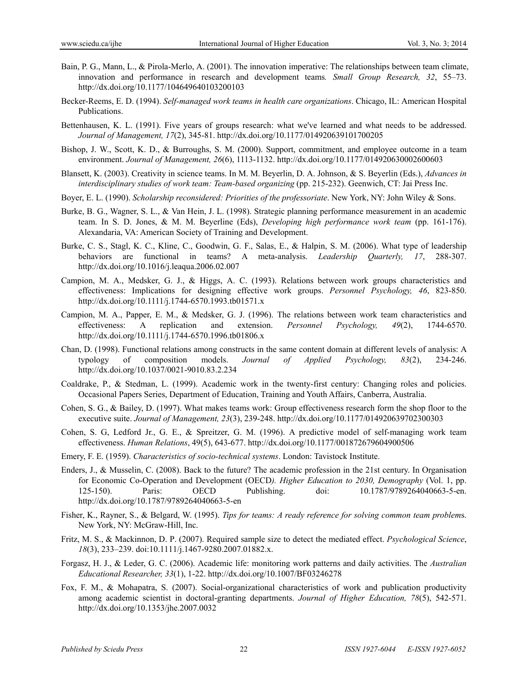- Bain, P. G., Mann, L., & Pirola-Merlo, A. (2001). The innovation imperative: The relationships between team climate, innovation and performance in research and development teams*. Small Group Research, 32*, 55–73. http://dx.doi.org/10.1177/104649640103200103
- Becker-Reems, E. D. (1994). *Self-managed work teams in health care organizations*. Chicago, IL: American Hospital Publications.
- Bettenhausen, K. L. (1991). Five years of groups research: what we've learned and what needs to be addressed. *Journal of Management, 17*(2), 345-81. http://dx.doi.org/10.1177/014920639101700205
- Bishop, J. W., Scott, K. D., & Burroughs, S. M. (2000). Support, commitment, and employee outcome in a team environment. *Journal of Management, 26*(6), 1113-1132. http://dx.doi.org/10.1177/014920630002600603
- Blansett, K. (2003). Creativity in science teams. In M. M. Beyerlin, D. A. Johnson, & S. Beyerlin (Eds.), *Advances in interdisciplinary studies of work team: Team-based organizing* (pp. 215-232). Geenwich, CT: Jai Press Inc.
- Boyer, E. L. (1990). *Scholarship reconsidered: Priorities of the professoriate*. New York, NY: John Wiley & Sons.
- Burke, B. G., Wagner, S. L., & Van Hein, J. L. (1998). Strategic planning performance measurement in an academic team. In S. D. Jones, & M. M. Beyerline (Eds), *Developing high performance work team* (pp. 161-176). Alexandaria, VA: American Society of Training and Development.
- Burke, C. S., Stagl, K. C., Kline, C., Goodwin, G. F., Salas, E., & Halpin, S. M. (2006). What type of leadership behaviors are functional in teams? A meta-analysis. *Leadership Quarterly, 17*, 288-307. http://dx.doi.org/10.1016/j.leaqua.2006.02.007
- Campion, M. A., Medsker, G. J., & Higgs, A. C. (1993). Relations between work groups characteristics and effectiveness: Implications for designing effective work groups. *Personnel Psychology, 46*, 823-850. http://dx.doi.org/10.1111/j.1744-6570.1993.tb01571.x
- Campion, M. A., Papper, E. M., & Medsker, G. J. (1996). The relations between work team characteristics and effectiveness: A replication and extension. *Personnel Psychology, 49*(2), 1744-6570. http://dx.doi.org/10.1111/j.1744-6570.1996.tb01806.x
- Chan, D. (1998). Functional relations among constructs in the same content domain at different levels of analysis: A typology of composition models. *Journal of Applied Psychology, 83*(2), 234-246. http://dx.doi.org/10.1037/0021-9010.83.2.234
- Coaldrake, P., & Stedman, L. (1999). Academic work in the twenty-first century: Changing roles and policies. Occasional Papers Series, Department of Education, Training and Youth Affairs, Canberra, Australia.
- Cohen, S. G., & Bailey, D. (1997). What makes teams work: Group effectiveness research form the shop floor to the executive suite. *Journal of Management, 23*(3), 239-248. http://dx.doi.org/10.1177/014920639702300303
- Cohen, S. G, Ledford Jr., G. E., & Spreitzer, G. M. (1996). A predictive model of self-managing work team effectiveness. *Human Relations*, 49(5), 643-677. http://dx.doi.org/10.1177/001872679604900506
- Emery, F. E. (1959). *Characteristics of socio-technical systems*. London: Tavistock Institute.
- Enders, J., & Musselin, C. (2008). Back to the future? The academic profession in the 21st century. In Organisation for Economic Co-Operation and Development (OECD*). Higher Education to 2030, Demography* (Vol. 1, pp. 125-150). Paris: OECD Publishing. doi: 10.1787/9789264040663-5-en. http://dx.doi.org/10.1787/9789264040663-5-en
- Fisher, K., Rayner, S., & Belgard, W. (1995). *Tips for teams: A ready reference for solving common team problem*s. New York, NY: McGraw-Hill, Inc.
- Fritz, M. S., & Mackinnon, D. P. (2007). Required sample size to detect the mediated effect. *Psychological Science*, *18*(3), 233–239. doi:10.1111/j.1467-9280.2007.01882.x.
- Forgasz, H. J., & Leder, G. C. (2006). Academic life: monitoring work patterns and daily activities. The *Australian Educational Researcher, 33*(1), 1-22. http://dx.doi.org/10.1007/BF03246278
- Fox, F. M., & Mohapatra, S. (2007). Social-organizational characteristics of work and publication productivity among academic scientist in doctoral-granting departments. *Journal of Higher Education, 78*(5), 542-571. http://dx.doi.org/10.1353/jhe.2007.0032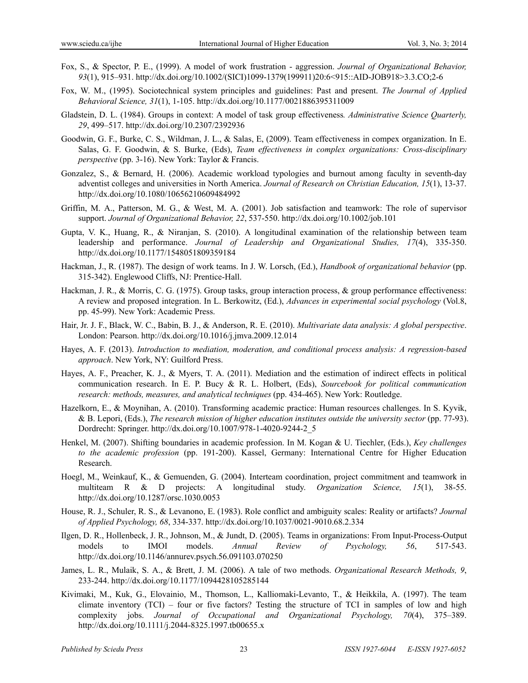- Fox, S., & Spector, P. E., (1999). A model of work frustration aggression. *Journal of Organizational Behavior, 93*(1), 915–931. http://dx.doi.org/10.1002/(SICI)1099-1379(199911)20:6<915::AID-JOB918>3.3.CO;2-6
- Fox, W. M., (1995). Sociotechnical system principles and guidelines: Past and present. *The Journal of Applied Behavioral Science, 31*(1), 1-105. http://dx.doi.org/10.1177/0021886395311009
- Gladstein, D. L. (1984). Groups in context: A model of task group effectiveness*. Administrative Science Quarterly, 29*, 499–517. http://dx.doi.org/10.2307/2392936
- Goodwin, G. F., Burke, C. S., Wildman, J. L., & Salas, E, (2009). Team effectiveness in compex organization. In E. Salas, G. F. Goodwin, & S. Burke, (Eds), *Team effectiveness in complex organizations: Cross-disciplinary perspective* (pp. 3-16). New York: Taylor & Francis.
- Gonzalez, S., & Bernard, H. (2006). Academic workload typologies and burnout among faculty in seventh-day adventist colleges and universities in North America. *Journal of Research on Christian Education, 15*(1), 13-37. http://dx.doi.org/10.1080/10656210609484992
- Griffin, M. A., Patterson, M. G., & West, M. A. (2001). Job satisfaction and teamwork: The role of supervisor support. *Journal of Organizational Behavior, 22*, 537-550. http://dx.doi.org/10.1002/job.101
- Gupta, V. K., Huang, R., & Niranjan, S. (2010). A longitudinal examination of the relationship between team leadership and performance. *Journal of Leadership and Organizational Studies, 17*(4), 335-350. http://dx.doi.org/10.1177/1548051809359184
- Hackman, J., R. (1987). The design of work teams. In J. W. Lorsch, (Ed.), *Handbook of organizational behavior* (pp. 315-342). Englewood Cliffs, NJ: Prentice-Hall.
- Hackman, J. R., & Morris, C. G. (1975). Group tasks, group interaction process, & group performance effectiveness: A review and proposed integration. In L. Berkowitz, (Ed.), *Advances in experimental social psychology* (Vol.8, pp. 45-99). New York: Academic Press.
- Hair, Jr. J. F., Black, W. C., Babin, B. J., & Anderson, R. E. (2010). *Multivariate data analysis: A global perspective*. London: Pearson. http://dx.doi.org/10.1016/j.jmva.2009.12.014
- Hayes, A. F. (2013). *Introduction to mediation, moderation, and conditional process analysis: A regression-based approach*. New York, NY: Guilford Press.
- Hayes, A. F., Preacher, K. J., & Myers, T. A. (2011). Mediation and the estimation of indirect effects in political communication research. In E. P. Bucy & R. L. Holbert, (Eds), *Sourcebook for political communication research: methods, measures, and analytical techniques* (pp. 434-465). New York: Routledge.
- Hazelkorn, E., & Moynihan, A. (2010). Transforming academic practice: Human resources challenges. In S. Kyvik, & B. Lepori, (Eds.), *The research mission of higher education institutes outside the university sector* (pp. 77-93). Dordrecht: Springer. http://dx.doi.org/10.1007/978-1-4020-9244-2\_5
- Henkel, M. (2007). Shifting boundaries in academic profession. In M. Kogan & U. Tiechler, (Eds.), *Key challenges to the academic profession* (pp. 191-200). Kassel, Germany: International Centre for Higher Education Research.
- Hoegl, M., Weinkauf, K., & Gemuenden, G. (2004). Interteam coordination, project commitment and teamwork in multiteam R & D projects: A longitudinal study. *Organization Science, 15*(1), 38-55. http://dx.doi.org/10.1287/orsc.1030.0053
- House, R. J., Schuler, R. S., & Levanono, E. (1983). Role conflict and ambiguity scales: Reality or artifacts? *Journal of Applied Psychology, 68*, 334-337. http://dx.doi.org/10.1037/0021-9010.68.2.334
- Ilgen, D. R., Hollenbeck, J. R., Johnson, M., & Jundt, D. (2005). Teams in organizations: From Input-Process-Output models to IMOI models. *Annual Review of Psychology, 56*, 517-543. http://dx.doi.org/10.1146/annurev.psych.56.091103.070250
- James, L. R., Mulaik, S. A., & Brett, J. M. (2006). A tale of two methods. *Organizational Research Methods, 9*, 233-244. http://dx.doi.org/10.1177/1094428105285144
- Kivimaki, M., Kuk, G., Elovainio, M., Thomson, L., Kalliomaki-Levanto, T., & Heikkila, A. (1997). The team climate inventory (TCI) – four or five factors? Testing the structure of TCI in samples of low and high complexity jobs. *Journal of Occupational and Organizational Psychology, 70*(4), 375–389. http://dx.doi.org/10.1111/j.2044-8325.1997.tb00655.x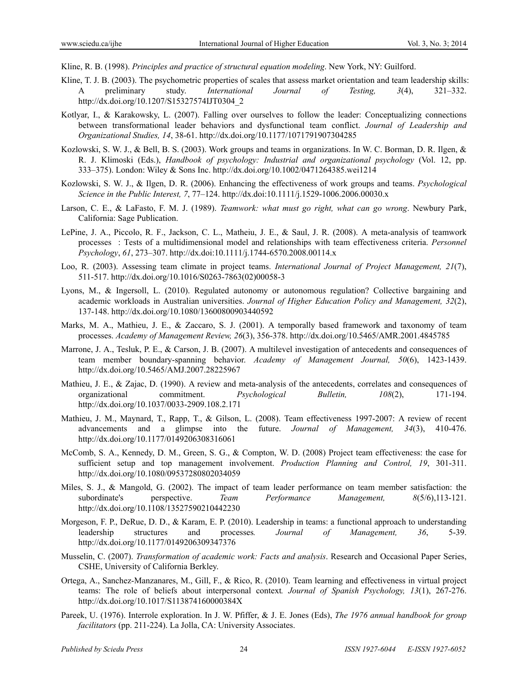Kline, R. B. (1998). *Principles and practice of structural equation modeling*. New York, NY: Guilford.

- Kline, T. J. B. (2003). The psychometric properties of scales that assess market orientation and team leadership skills: A preliminary study. *International Journal of Testing, 3*(4), 321–332. http://dx.doi.org/10.1207/S15327574IJT0304\_2
- Kotlyar, I., & Karakowsky, L. (2007). Falling over ourselves to follow the leader: Conceptualizing connections between transformational leader behaviors and dysfunctional team conflict. *Journal of Leadership and Organizational Studies, 14*, 38-61. http://dx.doi.org/10.1177/1071791907304285
- Kozlowski, S. W. J., & Bell, B. S. (2003). Work groups and teams in organizations. In W. C. Borman, D. R. Ilgen, & R. J. Klimoski (Eds.), *Handbook of psychology: Industrial and organizational psychology* (Vol. 12, pp. 333–375). London: Wiley & Sons Inc. http://dx.doi.org/10.1002/0471264385.wei1214
- Kozlowski, S. W. J., & Ilgen, D. R. (2006). Enhancing the effectiveness of work groups and teams. *Psychological Science in the Public Interest, 7*, 77–124. http://dx.doi:10.1111/j.1529-1006.2006.00030.x
- Larson, C. E., & LaFasto, F. M. J. (1989). *Teamwork: what must go right, what can go wrong*. Newbury Park, California: Sage Publication.
- LePine, J. A., Piccolo, R. F., Jackson, C. L., Matheiu, J. E., & Saul, J. R. (2008). A meta-analysis of teamwork processes: Tests of a multidimensional model and relationships with team effectiveness criteria. *Personnel Psychology*, *61*, 273–307. http://dx.doi:10.1111/j.1744-6570.2008.00114.x
- Loo, R. (2003). Assessing team climate in project teams. *International Journal of Project Management, 21*(7), 511-517. http://dx.doi.org/10.1016/S0263-7863(02)00058-3
- Lyons, M., & Ingersoll, L. (2010). Regulated autonomy or autonomous regulation? Collective bargaining and academic workloads in Australian universities. *Journal of Higher Education Policy and Management, 32*(2), 137-148. http://dx.doi.org/10.1080/13600800903440592
- Marks, M. A., Mathieu, J. E., & Zaccaro, S. J. (2001). A temporally based framework and taxonomy of team processes. *Academy of Management Review, 26*(3), 356-378. http://dx.doi.org/10.5465/AMR.2001.4845785
- Marrone, J. A., Tesluk, P. E., & Carson, J. B. (2007). A multilevel investigation of antecedents and consequences of team member boundary-spanning behavior. *Academy of Management Journal, 50*(6), 1423-1439. http://dx.doi.org/10.5465/AMJ.2007.28225967
- Mathieu, J. E., & Zajac, D. (1990). A review and meta-analysis of the antecedents, correlates and consequences of organizational commitment. *Psychological Bulletin, 108*(2), 171-194. http://dx.doi.org/10.1037/0033-2909.108.2.171
- Mathieu, J. M., Maynard, T., Rapp, T., & Gilson, L. (2008). Team effectiveness 1997-2007: A review of recent advancements and a glimpse into the future. *Journal of Management, 34*(3), 410-476. http://dx.doi.org/10.1177/0149206308316061
- McComb, S. A., Kennedy, D. M., Green, S. G., & Compton, W. D. (2008) Project team effectiveness: the case for sufficient setup and top management involvement. *Production Planning and Control, 19*, 301-311. http://dx.doi.org/10.1080/09537280802034059
- Miles, S. J., & Mangold, G. (2002). The impact of team leader performance on team member satisfaction: the subordinate's perspective. *Team Performance Management, 8*(5/6),113-121. http://dx.doi.org/10.1108/13527590210442230
- Morgeson, F. P., DeRue, D. D., & Karam, E. P. (2010). Leadership in teams: a functional approach to understanding leadership structures and processes*. Journal of Management, 36*, 5-39. http://dx.doi.org/10.1177/0149206309347376
- Musselin, C. (2007). *Transformation of academic work: Facts and analysis*. Research and Occasional Paper Series, CSHE, University of California Berkley.
- Ortega, A., Sanchez-Manzanares, M., Gill, F., & Rico, R. (2010). Team learning and effectiveness in virtual project teams: The role of beliefs about interpersonal context*. Journal of Spanish Psychology, 13*(1), 267-276. http://dx.doi.org/10.1017/S113874160000384X
- Pareek, U. (1976). Interrole exploration. In J. W. Pfiffer, & J. E. Jones (Eds), *The 1976 annual handbook for group facilitators* (pp. 211-224). La Jolla, CA: University Associates.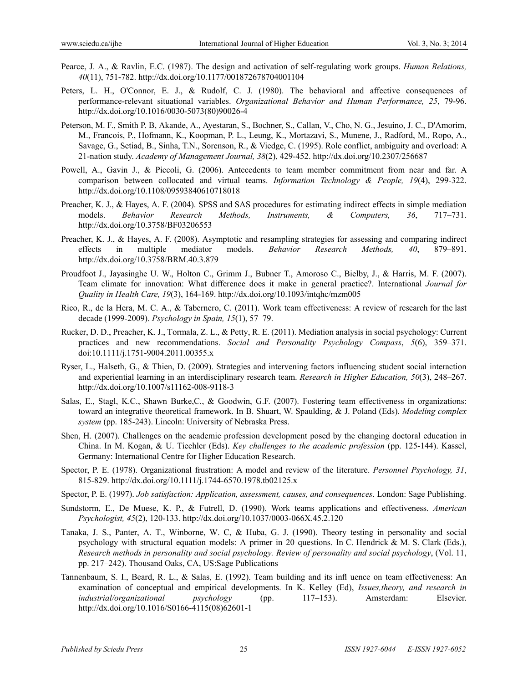- Pearce, J. A., & Ravlin, E.C. (1987). The design and activation of self-regulating work groups. *Human Relations, 40*(11), 751-782. http://dx.doi.org/10.1177/001872678704001104
- Peters, L. H., O'Connor, E. J., & Rudolf, C. J. (1980). The behavioral and affective consequences of performance-relevant situational variables. *Organizational Behavior and Human Performance, 25*, 79-96. http://dx.doi.org/10.1016/0030-5073(80)90026-4
- Peterson, M. F., Smith P. B, Akande, A., Ayestaran, S., Bochner, S., Callan, V., Cho, N. G., Jesuino, J. C., D'Amorim, M., Francois, P., Hofmann, K., Koopman, P. L., Leung, K., Mortazavi, S., Munene, J., Radford, M., Ropo, A., Savage, G., Setiad, B., Sinha, T.N., Sorenson, R., & Viedge, C. (1995). Role conflict, ambiguity and overload: A 21-nation study. *Academy of Management Journal, 38*(2), 429-452. http://dx.doi.org/10.2307/256687
- Powell, A., Gavin J., & Piccoli, G. (2006). Antecedents to team member commitment from near and far. A comparison between collocated and virtual teams. *Information Technology & People, 19*(4), 299-322. http://dx.doi.org/10.1108/09593840610718018
- Preacher, K. J., & Hayes, A. F. (2004). SPSS and SAS procedures for estimating indirect effects in simple mediation models. *Behavior Research Methods, Instruments, & Computers, 36*, 717–731. http://dx.doi.org/10.3758/BF03206553
- Preacher, K. J., & Hayes, A. F. (2008). Asymptotic and resampling strategies for assessing and comparing indirect effects in multiple mediator models. *Behavior Research Methods, 40*, 879–891. http://dx.doi.org/10.3758/BRM.40.3.879
- Proudfoot J., Jayasinghe U. W., Holton C., Grimm J., Bubner T., Amoroso C., Bielby, J., & Harris, M. F. (2007). Team climate for innovation: What difference does it make in general practice?. International *Journal for Quality in Health Care, 19*(3), 164-169. http://dx.doi.org/10.1093/intqhc/mzm005
- Rico, R., de la Hera, M. C. A., & Tabernero, C. (2011). Work team effectiveness: A review of research for the last decade (1999-2009). *Psychology in Spain, 15*(1), 57–79.
- Rucker, D. D., Preacher, K. J., Tormala, Z. L., & Petty, R. E. (2011). Mediation analysis in social psychology: Current practices and new recommendations. *Social and Personality Psychology Compass*, *5*(6), 359–371. doi:10.1111/j.1751-9004.2011.00355.x
- Ryser, L., Halseth, G., & Thien, D. (2009). Strategies and intervening factors influencing student social interaction and experiential learning in an interdisciplinary research team. *Research in Higher Education, 50*(3), 248–267. http://dx.doi.org/10.1007/s11162-008-9118-3
- Salas, E., Stagl, K.C., Shawn Burke,C., & Goodwin, G.F. (2007). Fostering team effectiveness in organizations: toward an integrative theoretical framework. In B. Shuart, W. Spaulding, & J. Poland (Eds). *Modeling complex system* (pp. 185-243). Lincoln: University of Nebraska Press.
- Shen, H. (2007). Challenges on the academic profession development posed by the changing doctoral education in China. In M. Kogan, & U. Tiechler (Eds). *Key challenges to the academic profession* (pp. 125-144). Kassel, Germany: International Centre for Higher Education Research.
- Spector, P. E. (1978). Organizational frustration: A model and review of the literature. *Personnel Psychology, 31*, 815-829. http://dx.doi.org/10.1111/j.1744-6570.1978.tb02125.x
- Spector, P. E. (1997). *Job satisfaction: Application, assessment, causes, and consequences*. London: Sage Publishing.
- Sundstorm, E., De Muese, K. P., & Futrell, D. (1990). Work teams applications and effectiveness. *American Psychologist, 45*(2), 120-133. http://dx.doi.org/10.1037/0003-066X.45.2.120
- Tanaka, J. S., Panter, A. T., Winborne, W. C, & Huba, G. J. (1990). Theory testing in personality and social psychology with structural equation models: A primer in 20 questions. In C. Hendrick & M. S. Clark (Eds.), *Research methods in personality and social psychology. Review of personality and social psychology*, (Vol. 11, pp. 217–242). Thousand Oaks, CA, US:Sage Publications
- Tannenbaum, S. I., Beard, R. L., & Salas, E. (1992). Team building and its infl uence on team effectiveness: An examination of conceptual and empirical developments. In K. Kelley (Ed), *Issues,theory, and research in industrial/organizational psychology* (pp. 117–153). Amsterdam: Elsevier. http://dx.doi.org/10.1016/S0166-4115(08)62601-1